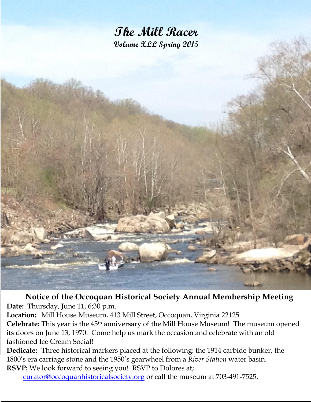

**Notice of the Occoquan Historical Society Annual Membership Meeting Date:** Thursday, June 11, 6:30 p.m.

**Location:** Mill House Museum, 413 Mill Street, Occoquan, Virginia 22125 **Celebrate:** This year is the 45th anniversary of the Mill House Museum! The museum opened its doors on June 13, 1970. Come help us mark the occasion and celebrate with an old fashioned Ice Cream Social!

**Dedicate:** Three historical markers placed at the following: the 1914 carbide bunker, the 1800's era carriage stone and the 1950's gearwheel from a *River Station* water basin. **RSVP:** We look forward to seeing you! RSVP to Dolores at;

[curator@occoquanhistoricalsociety.org](mailto:curator@occoquanhistoricalsociety.org) or call the museum at 703-491-7525.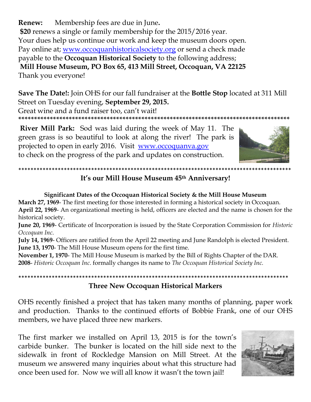Membership fees are due in June. Renew: \$20 renews a single or family membership for the 2015/2016 year. Your dues help us continue our work and keep the museum doors open. Pay online at; www.occoquanhistoricalsociety.org or send a check made payable to the Occoquan Historical Society to the following address; Mill House Museum, PO Box 65, 413 Mill Street, Occoquan, VA 22125 Thank you everyone!

Save The Date!: Join OHS for our fall fundraiser at the Bottle Stop located at 311 Mill Street on Tuesday evening, September 29, 2015.

Great wine and a fund raiser too, can't wait!

**River Mill Park:** Sod was laid during the week of May 11. The green grass is so beautiful to look at along the river! The park is projected to open in early 2016. Visit www.occoquanva.gov to check on the progress of the park and updates on construction.



## \*\*\*\*\*\*\*\*\*\*\*\*\*\*\*\*\*\*\*\*\*\*\*\*\*\*\*\* It's our Mill House Museum 45th Anniversary!

### Significant Dates of the Occoquan Historical Society & the Mill House Museum

March 27, 1969- The first meeting for those interested in forming a historical society in Occoquan. April 22, 1969- An organizational meeting is held, officers are elected and the name is chosen for the historical society.

June 20, 1969- Certificate of Incorporation is issued by the State Corporation Commission for Historic Occoguan Inc.

July 14, 1969- Officers are ratified from the April 22 meeting and June Randolph is elected President. **June 13, 1970-** The Mill House Museum opens for the first time.

November 1, 1970- The Mill House Museum is marked by the Bill of Rights Chapter of the DAR. 2008- Historic Occoquan Inc. formally changes its name to The Occoquan Historical Society Inc.

# **Three New Occoquan Historical Markers**

OHS recently finished a project that has taken many months of planning, paper work and production. Thanks to the continued efforts of Bobbie Frank, one of our OHS members, we have placed three new markers.

The first marker we installed on April 13, 2015 is for the town's carbide bunker. The bunker is located on the hill side next to the sidewalk in front of Rockledge Mansion on Mill Street. At the museum we answered many inquiries about what this structure had once been used for. Now we will all know it wasn't the town jail!